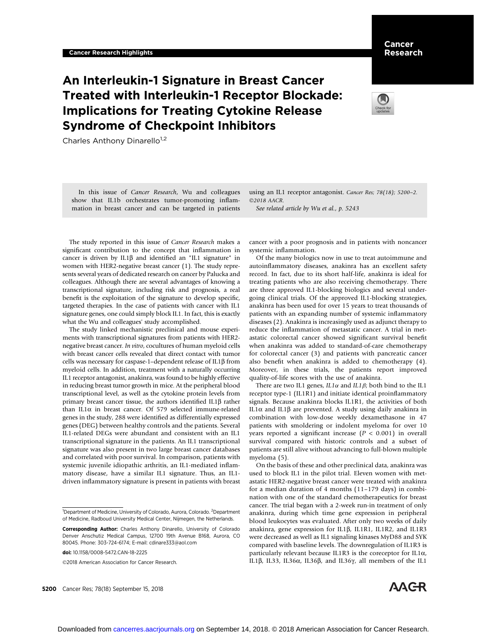# An Interleukin-1 Signature in Breast Cancer Treated with Interleukin-1 Receptor Blockade: Implications for Treating Cytokine Release Syndrome of Checkpoint Inhibitors

Charles Anthony Dinarello<sup>1,2</sup>

In this issue of Cancer Research, Wu and colleagues show that IL1b orchestrates tumor-promoting inflammation in breast cancer and can be targeted in patients using an IL1 receptor antagonist. Cancer Res; 78(18); 5200–2. 2018 AACR.

See related article by Wu et al., p. 5243

The study reported in this issue of Cancer Research makes a significant contribution to the concept that inflammation in cancer is driven by IL1 $\beta$  and identified an "IL1 signature" in women with HER2-negative breast cancer (1). The study represents several years of dedicated research on cancer by Palucka and colleagues. Although there are several advantages of knowing a transcriptional signature, including risk and prognosis, a real benefit is the exploitation of the signature to develop specific, targeted therapies. In the case of patients with cancer with IL1 signature genes, one could simply block IL1. In fact, this is exactly what the Wu and colleagues' study accomplished.

The study linked mechanistic preclinical and mouse experiments with transcriptional signatures from patients with HER2 negative breast cancer. In vitro, cocultures of human myeloid cells with breast cancer cells revealed that direct contact with tumor cells was necessary for caspase-1–dependent release of  $IL1\beta$  from myeloid cells. In addition, treatment with a naturally occurring IL1 receptor antagonist, anakinra, was found to be highly effective in reducing breast tumor growth in mice. At the peripheral blood transcriptional level, as well as the cytokine protein levels from primary breast cancer tissue, the authors identified IL1 $\beta$  rather than IL1 $\alpha$  in breast cancer. Of 579 selected immune-related genes in the study, 288 were identified as differentially expressed genes (DEG) between healthy controls and the patients. Several IL1-related DEGs were abundant and consistent with an IL1 transcriptional signature in the patients. An IL1 transcriptional signature was also present in two large breast cancer databases and correlated with poor survival. In comparison, patients with systemic juvenile idiopathic arthritis, an IL1-mediated inflammatory disease, have a similar IL1 signature. Thus, an IL1 driven inflammatory signature is present in patients with breast

2018 American Association for Cancer Research.

5200 Cancer Res; 78(18) September 15, 2018

cancer with a poor prognosis and in patients with noncancer systemic inflammation.

Of the many biologics now in use to treat autoimmune and autoinflammatory diseases, anakinra has an excellent safety record. In fact, due to its short half-life, anakinra is ideal for treating patients who are also receiving chemotherapy. There are three approved IL1-blocking biologics and several undergoing clinical trials. Of the approved IL1-blocking strategies, anakinra has been used for over 15 years to treat thousands of patients with an expanding number of systemic inflammatory diseases (2). Anakinra is increasingly used as adjunct therapy to reduce the inflammation of metastatic cancer. A trial in metastatic colorectal cancer showed significant survival benefit when anakinra was added to standard-of-care chemotherapy for colorectal cancer (3) and patients with pancreatic cancer also benefit when anakinra is added to chemotherapy (4). Moreover, in these trials, the patients report improved quality-of-life scores with the use of anakinra.

There are two IL1 genes,  $IL1\alpha$  and  $IL1\beta$ ; both bind to the IL1 receptor type-1 (IL1R1) and initiate identical proinflammatory signals. Because anakinra blocks IL1R1, the activities of both IL1 $\alpha$  and IL1 $\beta$  are prevented. A study using daily anakinra in combination with low-dose weekly dexamethasone in 47 patients with smoldering or indolent myeloma for over 10 years reported a significant increase ( $P < 0.001$ ) in overall survival compared with historic controls and a subset of patients are still alive without advancing to full-blown multiple myeloma (5).

On the basis of these and other preclinical data, anakinra was used to block IL1 in the pilot trial. Eleven women with metastatic HER2-negative breast cancer were treated with anakinra for a median duration of 4 months (11–179 days) in combination with one of the standard chemotherapeutics for breast cancer. The trial began with a 2-week run-in treatment of only anakinra, during which time gene expression in peripheral blood leukocytes was evaluated. After only two weeks of daily anakinra, gene expression for IL1 $\beta$ , IL1R1, IL1R2, and IL1R3 were decreased as well as IL1 signaling kinases MyD88 and SYK compared with baseline levels. The downregulation of IL1R3 is particularly relevant because IL1R3 is the coreceptor for IL1 $\alpha$ , IL1 $\beta$ , IL33, IL36 $\alpha$ , IL36 $\beta$ , and IL36 $\gamma$ , all members of the IL1



<sup>&</sup>lt;sup>1</sup>Department of Medicine, University of Colorado, Aurora, Colorado. <sup>2</sup>Department of Medicine, Radboud University Medical Center, Nijmegen, the Netherlands.

Corresponding Author: Charles Anthony Dinarello, University of Colorado Denver Anschutiz Medical Campus, 12700 19th Avenue B168, Aurora, CO 80045. Phone: 303-724-6174; E-mail: cdinare333@aol.com

doi: 10.1158/0008-5472.CAN-18-2225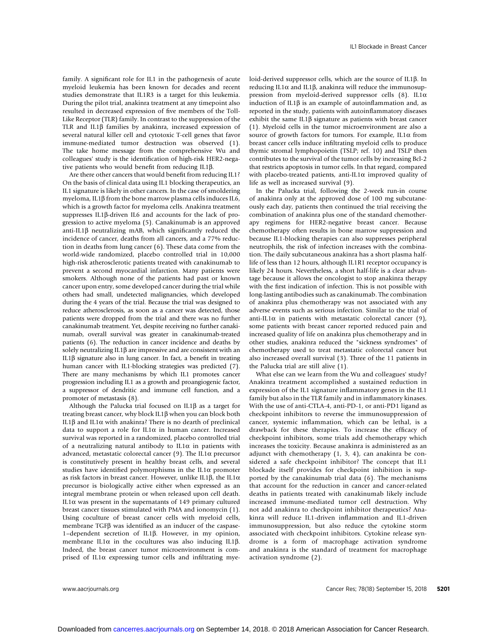family. A significant role for IL1 in the pathogenesis of acute myeloid leukemia has been known for decades and recent studies demonstrate that IL1R3 is a target for this leukemia. During the pilot trial, anakinra treatment at any timepoint also resulted in decreased expression of five members of the Toll-Like Receptor (TLR) family. In contrast to the suppression of the TLR and IL1 $\beta$  families by anakinra, increased expression of several natural killer cell and cytotoxic T-cell genes that favor immune-mediated tumor destruction was observed (1). The take home message from the comprehensive Wu and colleagues' study is the identification of high-risk HER2-negative patients who would benefit from reducing IL1b.

Are there other cancers that would benefit from reducing IL1? On the basis of clinical data using IL1 blocking therapeutics, an IL1 signature is likely in other cancers. In the case of smoldering myeloma, IL1 $\beta$  from the bone marrow plasma cells induces IL6, which is a growth factor for myeloma cells. Anakinra treatment suppresses IL1β-driven IL6 and accounts for the lack of progression to active myeloma (5). Canakinumab is an approved anti-IL1b neutralizing mAB, which significantly reduced the incidence of cancer, deaths from all cancers, and a 77% reduction in deaths from lung cancer (6). These data come from the world-wide randomized, placebo controlled trial in 10,000 high-risk atherosclerotic patients treated with canakinumab to prevent a second myocardial infarction. Many patients were smokers. Although none of the patients had past or known cancer upon entry, some developed cancer during the trial while others had small, undetected malignancies, which developed during the 4 years of the trial. Because the trial was designed to reduce atherosclerosis, as soon as a cancer was detected, those patients were dropped from the trial and there was no further canakinumab treatment. Yet, despite receiving no further canakinumab, overall survival was greater in canakinumab-treated patients (6). The reduction in cancer incidence and deaths by solely neutralizing IL1 $\beta$  are impressive and are consistent with an IL1 $\beta$  signature also in lung cancer. In fact, a benefit in treating human cancer with IL1-blocking strategies was predicted (7). There are many mechanisms by which IL1 promotes cancer progression including IL1 as a growth and proangiogenic factor, a suppressor of dendritic and immune cell function, and a promoter of metastasis (8).

Although the Palucka trial focused on IL1 $\beta$  as a target for treating breast cancer, why block IL1b when you can block both IL1 $\beta$  and IL1 $\alpha$  with anakinra? There is no dearth of preclinical data to support a role for IL1 $\alpha$  in human cancer. Increased survival was reported in a randomized, placebo controlled trial of a neutralizing natural antibody to  $IL1\alpha$  in patients with advanced, metastatic colorectal cancer (9). The IL1 $\alpha$  precursor is constitutively present in healthy breast cells, and several studies have identified polymorphisms in the IL1 $\alpha$  promoter as risk factors in breast cancer. However, unlike IL1 $\beta$ , the IL1 $\alpha$ precursor is biologically active either when expressed as an integral membrane protein or when released upon cell death. IL1 $\alpha$  was present in the supernatants of 149 primary cultured breast cancer tissues stimulated with PMA and ionomycin (1). Using coculture of breast cancer cells with myeloid cells, membrane  $TGF\beta$  was identified as an inducer of the caspase-<sup>1</sup>–dependent secretion of IL1b. However, in my opinion, membrane IL1 $\alpha$  in the cocultures was also inducing IL1 $\beta$ . Indeed, the breast cancer tumor microenvironment is comprised of IL1 $\alpha$  expressing tumor cells and infiltrating myeloid-derived suppressor cells, which are the source of IL1b. In reducing IL1 $\alpha$  and IL1 $\beta$ , anakinra will reduce the immunosuppression from myeloid-derived suppressor cells  $(8)$ . IL1 $\alpha$ induction of IL1 $\beta$  is an example of autoinflammation and, as reported in the study, patients with autoinflammatory diseases exhibit the same IL1 $\beta$  signature as patients with breast cancer (1). Myeloid cells in the tumor microenvironment are also a source of growth factors for tumors. For example,  $IL1\alpha$  from breast cancer cells induce infiltrating myeloid cells to produce thymic stromal lymphopoietin (TSLP; ref. 10) and TSLP then contributes to the survival of the tumor cells by increasing Bcl-2 that restricts apoptosis in tumor cells. In that regard, compared with placebo-treated patients, anti-IL1 $\alpha$  improved quality of life as well as increased survival (9).

In the Palucka trial, following the 2-week run-in course of anakinra only at the approved dose of 100 mg subcutaneously each day, patients then continued the trial receiving the combination of anakinra plus one of the standard chemotherapy regimens for HER2-negative breast cancer. Because chemotherapy often results in bone marrow suppression and because IL1-blocking therapies can also suppresses peripheral neutrophils, the risk of infection increases with the combination. The daily subcutaneous anakinra has a short plasma halflife of less than 12 hours, although IL1R1 receptor occupancy is likely 24 hours. Nevertheless, a short half-life is a clear advantage because it allows the oncologist to stop anakinra therapy with the first indication of infection. This is not possible with long-lasting antibodies such as canakinumab. The combination of anakinra plus chemotherapy was not associated with any adverse events such as serious infection. Similar to the trial of anti-IL1 $\alpha$  in patients with metastatic colorectal cancer (9), some patients with breast cancer reported reduced pain and increased quality of life on anakinra plus chemotherapy and in other studies, anakinra reduced the "sickness syndromes" of chemotherapy used to treat metastatic colorectal cancer but also increased overall survival (3). Three of the 11 patients in the Palucka trial are still alive (1).

What else can we learn from the Wu and colleagues' study? Anakinra treatment accomplished a sustained reduction in expression of the IL1 signature inflammatory genes in the IL1 family but also in the TLR family and in inflammatory kinases. With the use of anti-CTLA-4, anti-PD-1, or anti-PD1 ligand as checkpoint inhibitors to reverse the immunosuppression of cancer, systemic inflammation, which can be lethal, is a drawback for these therapies. To increase the efficacy of checkpoint inhibitors, some trials add chemotherapy which increases the toxicity. Because anakinra is administered as an adjunct with chemotherapy (1, 3, 4), can anakinra be considered a safe checkpoint inhibitor? The concept that IL1 blockade itself provides for checkpoint inhibition is supported by the canakinumab trial data (6). The mechanisms that account for the reduction in cancer and cancer-related deaths in patients treated with canakinumab likely include increased immune-mediated tumor cell destruction. Why not add anakinra to checkpoint inhibitor therapeutics? Anakinra will reduce IL1-driven inflammation and IL1-driven immunosuppression, but also reduce the cytokine storm associated with checkpoint inhibitors. Cytokine release syndrome is a form of macrophage activation syndrome and anakinra is the standard of treatment for macrophage activation syndrome (2).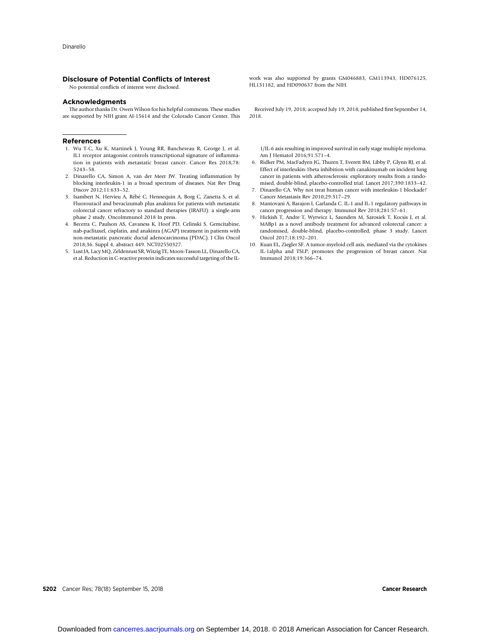### Disclosure of Potential Conflicts of Interest

No potential conflicts of interest were disclosed.

### Acknowledgments

The author thanks Dr. Owen Wilson for his helpful comments. These studies are supported by NIH grant AI-15614 and the Colorado Cancer Center. This

#### References

- 1. Wu T-C, Xu K, Martinek J, Young RR, Banchereau R, George J, et al. IL1 receptor antagonist controls transcriptional signature of inflammation in patients with metastatic breast cancer. Cancer Res 2018;78: 5243–58.
- 2. Dinarello CA, Simon A, van der Meer JW. Treating inflammation by blocking interleukin-1 in a broad spectrum of diseases. Nat Rev Drug Discov 2012;11:633–52.
- 3. Isambert N, Hervieu A, Rébé C, Hennequin A, Borg C, Zanetta S, et al. Fluorouracil and bevacizumab plus anakinra for patients with metastatic colorectal cancer refractory to standard therapies (IRAFU): a single-arm phase 2 study. OncoImmunol 2018 In press.
- 4. Becerra C, Paulson AS, Cavaness K, Hoof PD, Celinski S. Gemcitabine, nab-paclitaxel, cisplatin, and anakinra (AGAP) treatment in patients with non-metastatic pancreatic ductal adenocarcinoma (PDAC). J Clin Oncol 2018;36. Suppl 4, abstract 449. NCT02550327.
- 5. Lust JA, Lacy MQ, Zeldenrust SR, Witzig TE, Moon-Tasson LL, Dinarello CA, et al. Reduction in C-reactive protein indicates successful targeting of the IL-

work was also supported by grants GM046883, GM113943, HD076125, HL131182, and HD090637 from the NIH.

Received July 19, 2018; accepted July 19, 2018; published first September 14, 2018.

1/IL-6 axis resulting in improved survival in early stage multiple myeloma. Am J Hematol 2016;91:571–4.

- 6. Ridker PM, MacFadyen JG, Thuren T, Everett BM, Libby P, Glynn RJ, et al. Effect of interleukin-1beta inhibition with canakinumab on incident lung cancer in patients with atherosclerosis: exploratory results from a randomised, double-blind, placebo-controlled trial. Lancet 2017;390:1833–42.
- 7. Dinarello CA. Why not treat human cancer with interleukin-1 blockade? Cancer Metastasis Rev 2010;29:317–29.
- 8. Mantovani A, Barajon I, Garlanda C. IL-1 and IL-1 regulatory pathways in cancer progression and therapy. Immunol Rev 2018;281:57–61.
- 9. Hickish T, Andre T, Wyrwicz L, Saunders M, Sarosiek T, Kocsis J, et al. MABp1 as a novel antibody treatment for advanced colorectal cancer: a randomised, double-blind, placebo-controlled, phase 3 study. Lancet Oncol 2017;18:192–201.
- 10. Kuan EL, Ziegler SF. A tumor-myeloid cell axis, mediated via the cytokines IL-1alpha and TSLP, promotes the progression of breast cancer. Nat Immunol 2018;19:366–74.